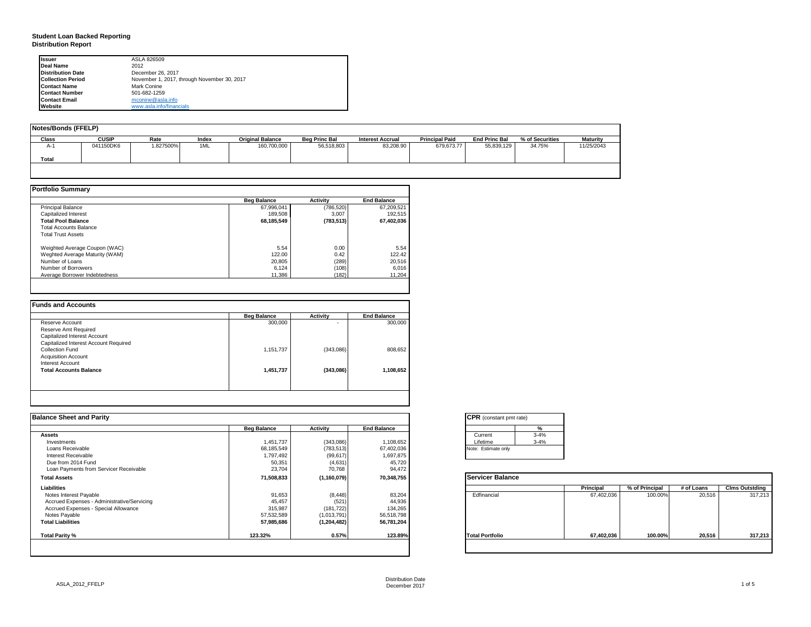#### **Student Loan Backed Reporting Distribution Report**

| <b>Issuer</b>            | ASLA 826509                                 |  |
|--------------------------|---------------------------------------------|--|
| Deal Name                | 2012                                        |  |
| <b>Distribution Date</b> | December 26, 2017                           |  |
| <b>Collection Period</b> | November 1, 2017, through November 30, 2017 |  |
| <b>Contact Name</b>      | Mark Conine                                 |  |
| <b>Contact Number</b>    | 501-682-1259                                |  |
| <b>Contact Email</b>     | mconine@asla.info                           |  |
| Website                  | www.asla.info/financials                    |  |

| Notes/Bonds (FFELP) |              |           |       |                         |                      |                         |                       |                      |                 |                 |
|---------------------|--------------|-----------|-------|-------------------------|----------------------|-------------------------|-----------------------|----------------------|-----------------|-----------------|
| Class               | <b>CUSIP</b> | Rate      | Index | <b>Original Balance</b> | <b>Bea Princ Bal</b> | <b>Interest Accrual</b> | <b>Principal Paid</b> | <b>End Princ Bal</b> | % of Securities | <b>Maturity</b> |
| $A-1$               | 041150DK6    | 1.827500% | 1ML   | 160,700,000             | 56,518,803           | 83.208.90               | 679.673.77            | 55.839.129           | 34.75%          | 11/25/2043      |
| Total               |              |           |       |                         |                      |                         |                       |                      |                 |                 |
|                     |              |           |       |                         |                      |                         |                       |                      |                 |                 |

|                                | <b>Beg Balance</b> | <b>Activity</b> | <b>End Balance</b> |  |
|--------------------------------|--------------------|-----------------|--------------------|--|
| <b>Principal Balance</b>       | 67.996.041         | (786, 520)      | 67,209,521         |  |
| Capitalized Interest           | 189.508            | 3.007           | 192,515            |  |
| <b>Total Pool Balance</b>      | 68,185,549         | (783, 513)      | 67,402,036         |  |
| <b>Total Accounts Balance</b>  |                    |                 |                    |  |
| <b>Total Trust Assets</b>      |                    |                 |                    |  |
| Weighted Average Coupon (WAC)  | 5.54               | 0.00            | 5.54               |  |
| Weghted Average Maturity (WAM) | 122.00             | 0.42            | 122.42             |  |
| Number of Loans                | 20,805             | (289)           | 20,516             |  |
| Number of Borrowers            | 6.124              | (108)           | 6,016              |  |
| Average Borrower Indebtedness  | 11.386             | (182)           | 11.204             |  |

| Reserve Account<br>Reserve Amt Required | 300,000   | ۰         | 300,000   |
|-----------------------------------------|-----------|-----------|-----------|
|                                         |           |           |           |
|                                         |           |           |           |
| Capitalized Interest Account            |           |           |           |
| Capitalized Interest Account Required   |           |           |           |
| Collection Fund                         | 1,151,737 | (343,086) | 808,652   |
| <b>Acquisition Account</b>              |           |           |           |
| Interest Account                        |           |           |           |
| <b>Total Accounts Balance</b>           | 1,451,737 | (343,086) | 1,108,652 |
|                                         |           |           |           |
|                                         |           |           |           |

| <b>Balance Sheet and Parity</b>             |                    |               |                    | <b>CPR</b> (constant pmt rate) |            |                |            |                       |
|---------------------------------------------|--------------------|---------------|--------------------|--------------------------------|------------|----------------|------------|-----------------------|
|                                             | <b>Beg Balance</b> | Activity      | <b>End Balance</b> | $\frac{9}{6}$                  |            |                |            |                       |
| <b>Assets</b>                               |                    |               |                    | $3 - 4%$<br>Current            |            |                |            |                       |
| Investments                                 | 1,451,737          | (343,086)     | 1,108,652          | $3 - 4%$<br>Lifetime           |            |                |            |                       |
| Loans Receivable                            | 68,185,549         | (783, 513)    | 67,402,036         | Note: Estimate only            |            |                |            |                       |
| Interest Receivable                         | 1,797,492          | (99, 617)     | 1,697,875          |                                |            |                |            |                       |
| Due from 2014 Fund                          | 50,351             | (4,631)       | 45,720             |                                |            |                |            |                       |
| Loan Payments from Servicer Receivable      | 23,704             | 70,768        | 94,472             |                                |            |                |            |                       |
| <b>Total Assets</b>                         | 71,508,833         | (1, 160, 079) | 70,348,755         | Servicer Balance               |            |                |            |                       |
| Liabilities                                 |                    |               |                    |                                | Principal  | % of Principal | # of Loans | <b>Clms Outstding</b> |
| Notes Interest Payable                      | 91,653             | (8, 448)      | 83,204             | Edfinancial                    | 67,402,036 | 100.00%        | 20,516     | 317,213               |
| Accrued Expenses - Administrative/Servicing | 45,457             | (521)         | 44,936             |                                |            |                |            |                       |
| Accrued Expenses - Special Allowance        | 315,987            | (181, 722)    | 134,265            |                                |            |                |            |                       |
| Notes Payable                               | 57,532,589         | (1,013,791)   | 56,518,798         |                                |            |                |            |                       |
| <b>Total Liabilities</b>                    | 57,985,686         | (1, 204, 482) | 56,781,204         |                                |            |                |            |                       |
| Total Parity %                              | 123.32%            | 0.57%         | 123.89%            | <b>Total Portfolio</b>         | 67,402,036 | 100.00%        | 20,516     | 317,213               |
|                                             |                    |               |                    |                                |            |                |            |                       |

| <b>CPR</b> (constant pmt rate) |          |  |  |  |  |  |  |
|--------------------------------|----------|--|--|--|--|--|--|
|                                | %        |  |  |  |  |  |  |
| Current                        | $3 - 4%$ |  |  |  |  |  |  |
| Lifetime                       | $3 - 4%$ |  |  |  |  |  |  |
| Note: Estimate only            |          |  |  |  |  |  |  |

|                        | Principal  | % of Principal | # of Loans | <b>Clms Outstding</b> |
|------------------------|------------|----------------|------------|-----------------------|
| Edfinancial            | 67,402,036 | 100.00%        | 20,516     | 317,213               |
| <b>Total Portfolio</b> | 67,402,036 | 100.00%        | 20,516     | 317,213               |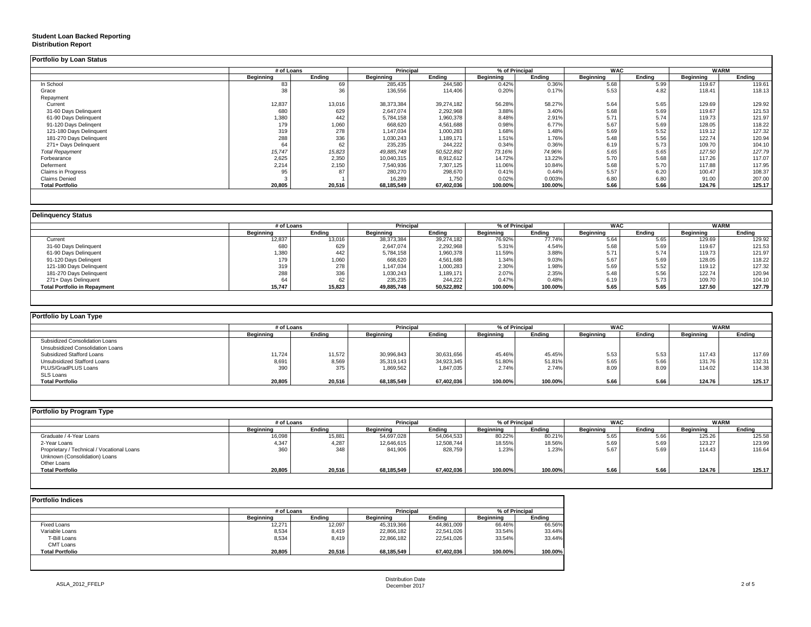#### **Student Loan Backed Reporting**

#### **Distribution Report**

| Portfolio by Loan Status  |            |        |                  |            |                |         |            |        |             |        |
|---------------------------|------------|--------|------------------|------------|----------------|---------|------------|--------|-------------|--------|
|                           | # of Loans |        | <b>Principal</b> |            | % of Principal |         | <b>WAC</b> |        | <b>WARM</b> |        |
|                           | Beainnina  | Endina | Beainnina        | Endina     | Beainnina      | Endina  | Beainnina  | Endina | Beainnina   | Endina |
| In School                 | 83         | 69     | 285,435          | 244,580    | 0.42%          | 0.36%   | 5.68       | 5.99   | 119.67      | 119.61 |
| Grace                     | 38         | 36     | 136,556          | 114,406    | 0.20%          | 0.17%   | 5.53       | 4.82   | 118.41      | 118.13 |
| Repayment                 |            |        |                  |            |                |         |            |        |             |        |
| Current                   | 12,837     | 13,016 | 38.373.384       | 39.274.182 | 56.28%         | 58.27%  | 5.64       | 5.65   | 129.69      | 129.92 |
| 31-60 Days Delinquent     | 680        | 629    | 2,647,074        | 2,292,968  | 3.88%          | 3.40%   | 5.68       | 5.69   | 119.67      | 121.53 |
| 61-90 Days Delinquent     | 1,380      | 442    | 5,784,158        | 1,960,378  | 8.48%          | 2.91%   | 5.71       | 5.74   | 119.73      | 121.97 |
| 91-120 Days Delingent     | 179        | 1,060  | 668,620          | 4,561,688  | 0.98%          | 6.77%   | 5.67       | 5.69   | 128.05      | 118.22 |
| 121-180 Days Delinquent   | 319        | 278    | 1,147,034        | 1,000,283  | 1.68%          | 1.48%   | 5.69       | 5.52   | 119.12      | 127.32 |
| 181-270 Days Delinquent   | 288        | 336    | 1,030,243        | 1,189,171  | 1.51%          | 1.76%   | 5.48       | 5.56   | 122.74      | 120.94 |
| 271+ Days Delinquent      | 64         | 62     | 235,235          | 244.222    | 0.34%          | 0.36%   | 6.19       | 5.73   | 109.70      | 104.10 |
| <b>Total Repayment</b>    | 15,747     | 15,823 | 49,885,748       | 50,522,892 | 73.16%         | 74.96%  | 5.65       | 5.65   | 127.50      | 127.79 |
| Forbearance               | 2,625      | 2,350  | 10,040,315       | 8,912,612  | 14.72%         | 13.22%  | 5.70       | 5.68   | 117.26      | 117.07 |
| Deferment                 | 2,214      | 2,150  | 7,540,936        | 7,307,125  | 11.06%         | 10.84%  | 5.68       | 5.70   | 117.88      | 117.95 |
| <b>Claims in Progress</b> |            | 87     | 280,270          | 298,670    | 0.41%          | 0.44%   | 5.57       | 6.20   | 100.47      | 108.37 |
| <b>Claims Denied</b>      |            |        | 16,289           | 1.750      | 0.02%          | 0.003%  | 6.80       | 6.80   | 91.00       | 207.00 |
| <b>Total Portfolio</b>    | 20,805     | 20,516 | 68,185,549       | 67,402,036 | 100.00%        | 100.00% | 5.66       | 5.66   | 124.76      | 125.17 |
|                           |            |        |                  |            |                |         |            |        |             |        |

|                                     |                  | # of Loans |            | <b>Principal</b> | % of Principal   |         | <b>WAC</b>       |        | <b>WARM</b> |        |
|-------------------------------------|------------------|------------|------------|------------------|------------------|---------|------------------|--------|-------------|--------|
|                                     | <b>Beginning</b> | Ending     | Beginning  | Ending           | <b>Beginning</b> | Ending  | <b>Beginning</b> | Endina | Beginning   | Endina |
| Current                             | 12,837           | 13,016     | 38,373,384 | 39.274.182       | 76.92%           | 77.74%  | 5.64             | 5.65   | 129.69      | 129.92 |
| 31-60 Days Delinquent               | 680              | 629        | 2,647,074  | 2,292,968        | 5.31%            | 4.54%   | 5.68             | 5.69   | 119.67      | 121.53 |
| 61-90 Days Delinquent               | 1,380            | 442        | 5,784,158  | 1,960,378        | 11.59%           | 3.88%   | 5.71             | 5.74   | 119.73      | 121.97 |
| 91-120 Days Delingent               |                  | 060,1      | 668,620    | 4,561,688        | 1.34%            | 9.03%   | 5.67             | 5.69   | 128.05      | 118.22 |
| 121-180 Days Delinquent             | 319              | 278        | 1,147,034  | 1,000,283        | 2.30%            | 1.98%   | 5.69             | 5.52   | 119.12      | 127.32 |
| 181-270 Days Delinquent             | 288              | 336        | 1,030,243  | 1,189,171        | 2.07%            | 2.35%   | 5.48             | 5.56   | 122.74      | 120.94 |
| 271+ Days Delinquent                | 64               | 62         | 235,235    | 244,222          | 0.47%            | 0.48%   | 6.19             | 5.73   | 109.70      | 104.10 |
| <b>Total Portfolio in Repayment</b> | 15.747           | 15,823     | 49,885,748 | 50,522,892       | 100.00%          | 100.00% | 5.65             | 5.65   | 127.50      | 127.79 |

| Portfolio by Loan Type           |                  |        |                  |                                    |                  |         |           |            |             |        |
|----------------------------------|------------------|--------|------------------|------------------------------------|------------------|---------|-----------|------------|-------------|--------|
|                                  | # of Loans       |        |                  | % of Principal<br><b>Principal</b> |                  |         |           | <b>WAC</b> | <b>WARM</b> |        |
|                                  | <b>Beginning</b> | Ending | <b>Beginning</b> | Endina                             | <b>Beginning</b> | Ending  | Beginning | Endina     | Beginning   | Ending |
| Subsidized Consolidation Loans   |                  |        |                  |                                    |                  |         |           |            |             |        |
| Unsubsidized Consolidation Loans |                  |        |                  |                                    |                  |         |           |            |             |        |
| Subsidized Stafford Loans        | 11,724           | 11,572 | 30,996,843       | 30,631,656                         | 45.46%           | 45.45%  | 5.53      | 5.53       | 117.43      | 117.69 |
| Unsubsidized Stafford Loans      | 8,691            | 8,569  | 35,319,143       | 34,923,345                         | 51.80%           | 51.81%  | 5.65      | 5.66       | 131.76      | 132.31 |
| PLUS/GradPLUS Loans              | 390              | 375    | 1,869,562        | 1,847,035                          | 2.74%            | 2.74%   | 8.09      | 8.09       | 114.02      | 114.38 |
| SLS Loans                        |                  |        |                  |                                    |                  |         |           |            |             |        |
| <b>Total Portfolio</b>           | 20,805           | 20,516 | 68.185.549       | 67.402.036                         | 100.00%          | 100.00% | 5.66      | 5.66       | 124.76      | 125.17 |

| Portfolio by Program Type                  |           |            |                  |                                    |           |         |                  |        |             |        |
|--------------------------------------------|-----------|------------|------------------|------------------------------------|-----------|---------|------------------|--------|-------------|--------|
|                                            |           | # of Loans |                  | <b>Principal</b><br>% of Principal |           |         | <b>WAC</b>       |        | <b>WARM</b> |        |
|                                            | Beainnina | Endina     | <b>Beginning</b> | Ending                             | Beainnina | Endina  | <b>Beainning</b> | Endina | Beginning   | Ending |
| Graduate / 4-Year Loans                    | 16,098    | 15,881     | 54,697,028       | 54,064,533                         | 80.22%    | 80.21%  | 5.65             | 5.66   | 125.26      | 125.58 |
| 2-Year Loans                               | 4,347     | 4,287      | 12,646,615       | 12,508,744                         | 18.55%    | 18.56%  | 5.69             | 5.69   | 123.27      | 123.99 |
| Proprietary / Technical / Vocational Loans | 360       | 348        | 841,906          | 828,759                            | 1.23%     | 1.23%   | 5.67             | 5.69   | 114.43      | 116.64 |
| Unknown (Consolidation) Loans              |           |            |                  |                                    |           |         |                  |        |             |        |
| Other Loans                                |           |            |                  |                                    |           |         |                  |        |             |        |
| <b>Total Portfolio</b>                     | 20,805    | 20,516     | 68,185,549       | 67,402,036                         | 100.00%   | 100.00% | 5.66             | 5.66   | 124.76      | 125.17 |
|                                            |           |            |                  |                                    |           |         |                  |        |             |        |

| <b>Portfolio Indices</b> |            |        |                  |            |                |         |  |
|--------------------------|------------|--------|------------------|------------|----------------|---------|--|
|                          | # of Loans |        | <b>Principal</b> |            | % of Principal |         |  |
|                          | Beainnina  | Endina | Beainnina        | Endina     | Beainnina      | Ending  |  |
| Fixed Loans              | 12,271     | 12.097 | 45,319,366       | 44,861,009 | 66.46%         | 66.56%  |  |
| Variable Loans           | 8,534      | 8,419  | 22,866,182       | 22,541,026 | 33.54%         | 33.44%  |  |
| T-Bill Loans             | 8,534      | 8.419  | 22,866,182       | 22.541.026 | 33.54%         | 33.44%  |  |
| CMT Loans                |            |        |                  |            |                |         |  |
| <b>Total Portfolio</b>   | 20,805     | 20,516 | 68.185.549       | 67,402,036 | 100.00%        | 100.00% |  |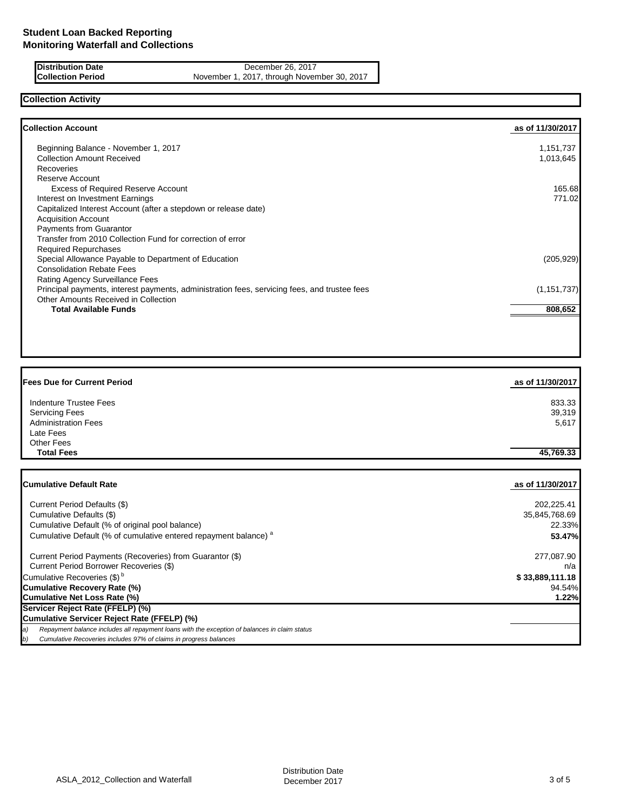**Distribution Date** December 26, 2017<br> **Collection Period** November 1, 2017, through Novem November 1, 2017, through November 30, 2017

## **Collection Activity**

| <b>Collection Account</b>                                                                    | as of 11/30/2017 |
|----------------------------------------------------------------------------------------------|------------------|
| Beginning Balance - November 1, 2017                                                         | 1,151,737        |
| <b>Collection Amount Received</b>                                                            | 1,013,645        |
| Recoveries                                                                                   |                  |
| Reserve Account                                                                              |                  |
| <b>Excess of Required Reserve Account</b>                                                    | 165.68           |
| Interest on Investment Earnings                                                              | 771.02           |
| Capitalized Interest Account (after a stepdown or release date)                              |                  |
| <b>Acquisition Account</b>                                                                   |                  |
| Payments from Guarantor                                                                      |                  |
| Transfer from 2010 Collection Fund for correction of error                                   |                  |
| <b>Required Repurchases</b>                                                                  |                  |
| Special Allowance Payable to Department of Education                                         | (205, 929)       |
| <b>Consolidation Rebate Fees</b>                                                             |                  |
| Rating Agency Surveillance Fees                                                              |                  |
| Principal payments, interest payments, administration fees, servicing fees, and trustee fees | (1, 151, 737)    |
| Other Amounts Received in Collection                                                         |                  |
| <b>Total Available Funds</b>                                                                 | 808,652          |

| <b>Fees Due for Current Period</b>                                                                  | as of 11/30/2017 |
|-----------------------------------------------------------------------------------------------------|------------------|
| Indenture Trustee Fees                                                                              | 833.33           |
| <b>Servicing Fees</b>                                                                               | 39,319           |
| <b>Administration Fees</b>                                                                          | 5,617            |
| Late Fees                                                                                           |                  |
| Other Fees                                                                                          |                  |
| <b>Total Fees</b>                                                                                   | 45,769.33        |
|                                                                                                     |                  |
| <b>Cumulative Default Rate</b>                                                                      | as of 11/30/2017 |
| Current Period Defaults (\$)                                                                        | 202,225.41       |
| Cumulative Defaults (\$)                                                                            | 35,845,768.69    |
| Cumulative Default (% of original pool balance)                                                     | 22.33%           |
| Cumulative Default (% of cumulative entered repayment balance) <sup>a</sup>                         | 53.47%           |
| Current Period Payments (Recoveries) from Guarantor (\$)                                            | 277,087.90       |
| Current Period Borrower Recoveries (\$)                                                             | n/a              |
| Cumulative Recoveries (\$) <sup>b</sup>                                                             | \$33,889,111.18  |
| <b>Cumulative Recovery Rate (%)</b>                                                                 | 94.54%           |
| <b>Cumulative Net Loss Rate (%)</b>                                                                 | 1.22%            |
| Servicer Reject Rate (FFELP) (%)                                                                    |                  |
| Cumulative Servicer Reject Rate (FFELP) (%)                                                         |                  |
| Repayment balance includes all repayment loans with the exception of balances in claim status<br>a) |                  |

*b) Cumulative Recoveries includes 97% of claims in progress balances*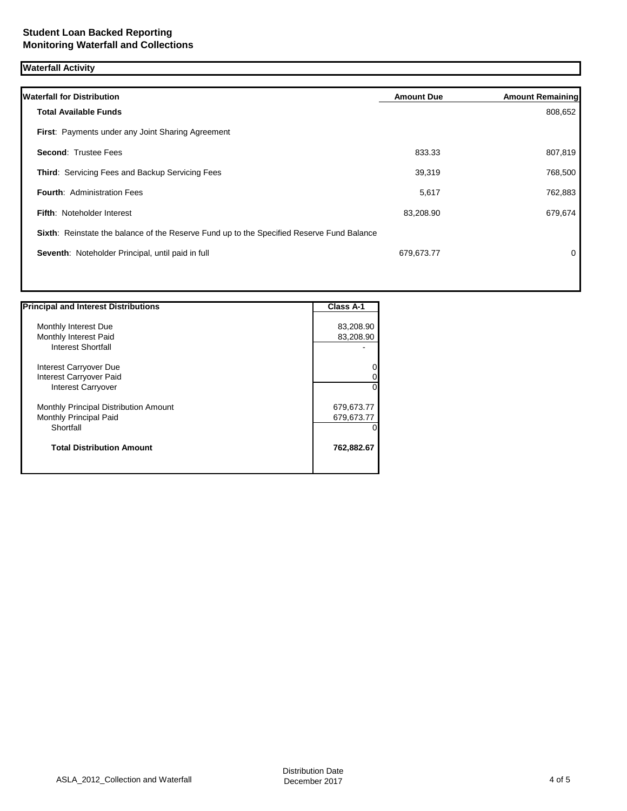# **Waterfall Activity**

| <b>Waterfall for Distribution</b>                                                         | <b>Amount Due</b> | <b>Amount Remaining</b> |
|-------------------------------------------------------------------------------------------|-------------------|-------------------------|
| <b>Total Available Funds</b>                                                              |                   | 808,652                 |
| <b>First:</b> Payments under any Joint Sharing Agreement                                  |                   |                         |
| <b>Second: Trustee Fees</b>                                                               | 833.33            | 807,819                 |
| <b>Third: Servicing Fees and Backup Servicing Fees</b>                                    | 39,319            | 768,500                 |
| <b>Fourth: Administration Fees</b>                                                        | 5,617             | 762,883                 |
| <b>Fifth: Noteholder Interest</b>                                                         | 83,208.90         | 679,674                 |
| Sixth: Reinstate the balance of the Reserve Fund up to the Specified Reserve Fund Balance |                   |                         |
| Seventh: Noteholder Principal, until paid in full                                         | 679,673.77        | 0                       |
|                                                                                           |                   |                         |
|                                                                                           |                   |                         |

| <b>Principal and Interest Distributions</b> | Class A-1  |
|---------------------------------------------|------------|
|                                             |            |
| Monthly Interest Due                        | 83,208.90  |
| Monthly Interest Paid                       | 83,208.90  |
| <b>Interest Shortfall</b>                   |            |
| Interest Carryover Due                      |            |
| Interest Carryover Paid                     |            |
| <b>Interest Carryover</b>                   |            |
| Monthly Principal Distribution Amount       | 679,673.77 |
| Monthly Principal Paid                      | 679,673.77 |
| Shortfall                                   |            |
| <b>Total Distribution Amount</b>            | 762,882.67 |
|                                             |            |